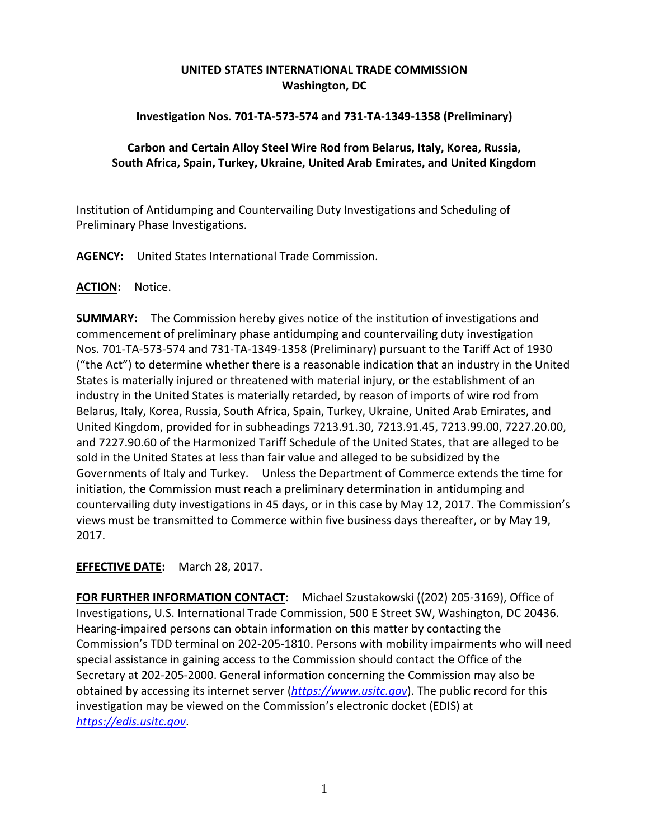# **UNITED STATES INTERNATIONAL TRADE COMMISSION Washington, DC**

### **Investigation Nos. 701-TA-573-574 and 731-TA-1349-1358 (Preliminary)**

### **Carbon and Certain Alloy Steel Wire Rod from Belarus, Italy, Korea, Russia, South Africa, Spain, Turkey, Ukraine, United Arab Emirates, and United Kingdom**

Institution of Antidumping and Countervailing Duty Investigations and Scheduling of Preliminary Phase Investigations.

**AGENCY:** United States International Trade Commission.

### **ACTION:** Notice.

**SUMMARY:** The Commission hereby gives notice of the institution of investigations and commencement of preliminary phase antidumping and countervailing duty investigation Nos. 701-TA-573-574 and 731-TA-1349-1358 (Preliminary) pursuant to the Tariff Act of 1930 ("the Act") to determine whether there is a reasonable indication that an industry in the United States is materially injured or threatened with material injury, or the establishment of an industry in the United States is materially retarded, by reason of imports of wire rod from Belarus, Italy, Korea, Russia, South Africa, Spain, Turkey, Ukraine, United Arab Emirates, and United Kingdom, provided for in subheadings 7213.91.30, 7213.91.45, 7213.99.00, 7227.20.00, and 7227.90.60 of the Harmonized Tariff Schedule of the United States, that are alleged to be sold in the United States at less than fair value and alleged to be subsidized by the Governments of Italy and Turkey. Unless the Department of Commerce extends the time for initiation, the Commission must reach a preliminary determination in antidumping and countervailing duty investigations in 45 days, or in this case by May 12, 2017. The Commission's views must be transmitted to Commerce within five business days thereafter, or by May 19, 2017.

## **EFFECTIVE DATE:** March 28, 2017.

**FOR FURTHER INFORMATION CONTACT:** Michael Szustakowski ((202) 205-3169), Office of Investigations, U.S. International Trade Commission, 500 E Street SW, Washington, DC 20436. Hearing-impaired persons can obtain information on this matter by contacting the Commission's TDD terminal on 202-205-1810. Persons with mobility impairments who will need special assistance in gaining access to the Commission should contact the Office of the Secretary at 202-205-2000. General information concerning the Commission may also be obtained by accessing its internet server (*[https://www.usitc.gov](https://www.usitc.gov/)*). The public record for this investigation may be viewed on the Commission's electronic docket (EDIS) at *[https://edis.usitc.gov](https://edis.usitc.gov/)*.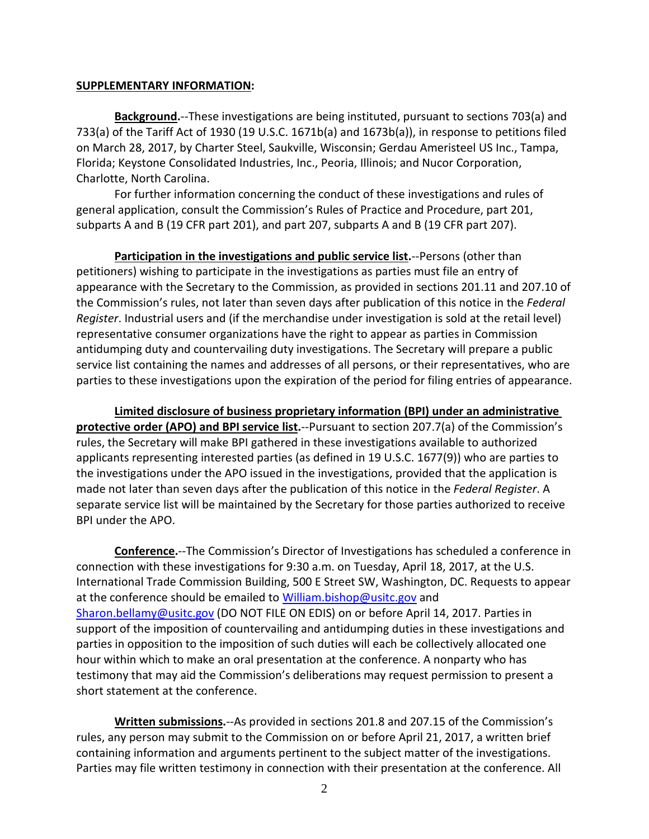#### **SUPPLEMENTARY INFORMATION:**

**Background.**--These investigations are being instituted, pursuant to sections 703(a) and 733(a) of the Tariff Act of 1930 (19 U.S.C. 1671b(a) and 1673b(a)), in response to petitions filed on March 28, 2017, by Charter Steel, Saukville, Wisconsin; Gerdau Ameristeel US Inc., Tampa, Florida; Keystone Consolidated Industries, Inc., Peoria, Illinois; and Nucor Corporation, Charlotte, North Carolina.

For further information concerning the conduct of these investigations and rules of general application, consult the Commission's Rules of Practice and Procedure, part 201, subparts A and B (19 CFR part 201), and part 207, subparts A and B (19 CFR part 207).

**Participation in the investigations and public service list.**--Persons (other than petitioners) wishing to participate in the investigations as parties must file an entry of appearance with the Secretary to the Commission, as provided in sections 201.11 and 207.10 of the Commission's rules, not later than seven days after publication of this notice in the *Federal Register*. Industrial users and (if the merchandise under investigation is sold at the retail level) representative consumer organizations have the right to appear as parties in Commission antidumping duty and countervailing duty investigations. The Secretary will prepare a public service list containing the names and addresses of all persons, or their representatives, who are parties to these investigations upon the expiration of the period for filing entries of appearance.

**Limited disclosure of business proprietary information (BPI) under an administrative protective order (APO) and BPI service list.**--Pursuant to section 207.7(a) of the Commission's rules, the Secretary will make BPI gathered in these investigations available to authorized applicants representing interested parties (as defined in 19 U.S.C. 1677(9)) who are parties to the investigations under the APO issued in the investigations, provided that the application is made not later than seven days after the publication of this notice in the *Federal Register*. A separate service list will be maintained by the Secretary for those parties authorized to receive BPI under the APO.

**Conference.**--The Commission's Director of Investigations has scheduled a conference in connection with these investigations for 9:30 a.m. on Tuesday, April 18, 2017, at the U.S. International Trade Commission Building, 500 E Street SW, Washington, DC. Requests to appear at the conference should be emailed to [William.bishop@usitc.gov](mailto:William.bishop@usitc.gov) and [Sharon.bellamy@usitc.gov](mailto:Sharon.bellamy@usitc.gov)) (DO NOT FILE ON EDIS) on or before April 14, 2017. Parties in support of the imposition of countervailing and antidumping duties in these investigations and parties in opposition to the imposition of such duties will each be collectively allocated one hour within which to make an oral presentation at the conference. A nonparty who has testimony that may aid the Commission's deliberations may request permission to present a short statement at the conference.

**Written submissions.**--As provided in sections 201.8 and 207.15 of the Commission's rules, any person may submit to the Commission on or before April 21, 2017, a written brief containing information and arguments pertinent to the subject matter of the investigations. Parties may file written testimony in connection with their presentation at the conference. All